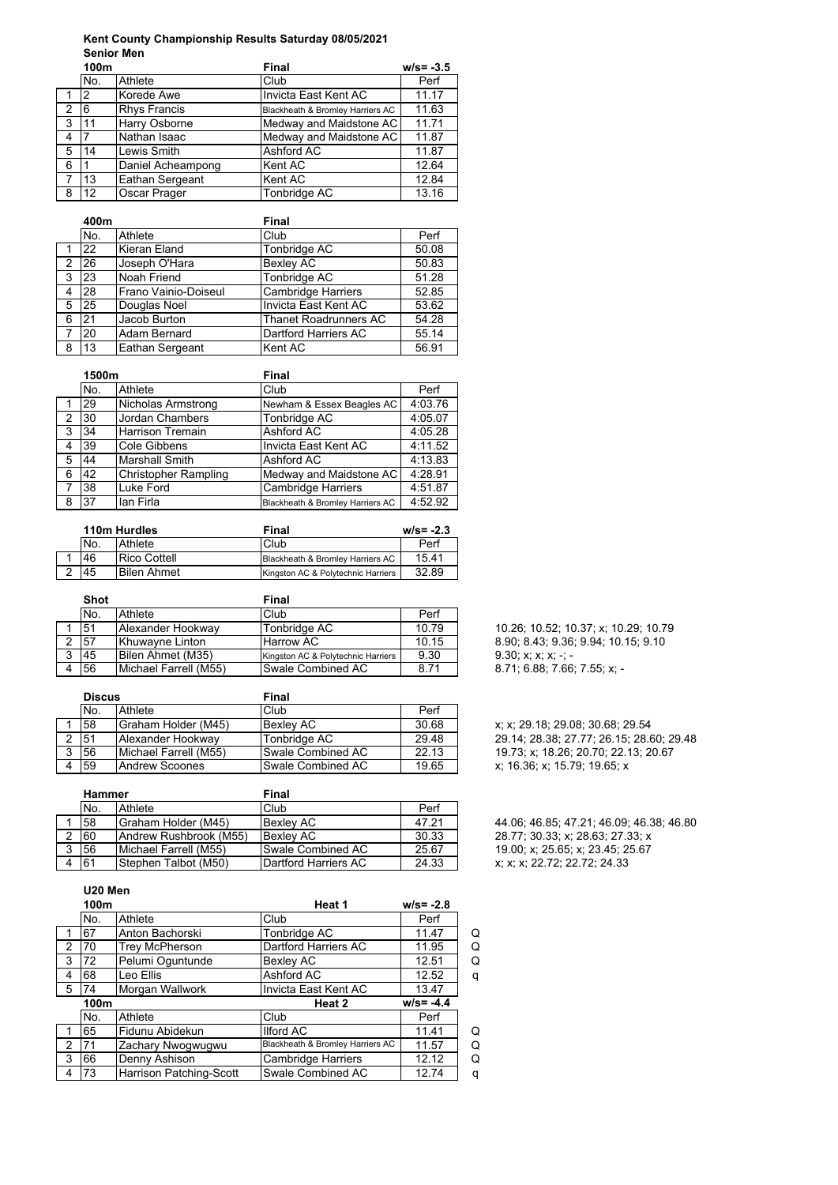## **Kent County Championship Results Saturday 08/05/2021** Senior Men<sup>-</sup>

|                | 100m |                     | Final                            | $w/s = -3.5$ |
|----------------|------|---------------------|----------------------------------|--------------|
|                | No.  | Athlete             | Club                             | Perf         |
|                | 2    | Korede Awe          | Invicta East Kent AC             | 11.17        |
| $\overline{2}$ | 6    | <b>Rhys Francis</b> | Blackheath & Bromley Harriers AC | 11.63        |
| 3              | 11   | Harry Osborne       | Medway and Maidstone AC          | 11.71        |
| 4              |      | Nathan Isaac        | Medway and Maidstone AC          | 11.87        |
| 5              | 14   | Lewis Smith         | Ashford AC                       | 11.87        |
| 6              |      | Daniel Acheampong   | Kent AC                          | 12.64        |
|                | 13   | Eathan Sergeant     | Kent AC                          | 12.84        |
| 8              | 12   | Oscar Prager        | Tonbridge AC                     | 13.16        |

|    | 400m      |                      | Final                        |       |
|----|-----------|----------------------|------------------------------|-------|
|    | No.       | Athlete              | Club                         | Perf  |
|    | 22        | Kieran Eland         | Tonbridge AC                 | 50.08 |
| 2  | <b>26</b> | Joseph O'Hara        | <b>Bexley AC</b>             | 50.83 |
| 3  | 23        | Noah Friend          | Tonbridge AC                 | 51.28 |
| 4  | 28        | Frano Vainio-Doiseul | <b>Cambridge Harriers</b>    | 52.85 |
| 5  | 25        | Douglas Noel         | Invicta East Kent AC         | 53.62 |
| 6  | 21        | Jacob Burton         | <b>Thanet Roadrunners AC</b> | 54.28 |
| -7 | 20        | Adam Bernard         | Dartford Harriers AC         | 55.14 |
| 8  | 13        | Eathan Sergeant      | Kent AC                      | 56.91 |

|   | 1500m |                             | Final                            |         |  |
|---|-------|-----------------------------|----------------------------------|---------|--|
|   | No.   | Athlete                     | Club                             | Perf    |  |
|   | 29    | Nicholas Armstrong          | Newham & Essex Beagles AC        | 4:03.76 |  |
| 2 | 130   | <b>Jordan Chambers</b>      | Tonbridge AC                     | 4:05.07 |  |
| 3 | 34    | <b>Harrison Tremain</b>     | Ashford AC                       | 4:05.28 |  |
| 4 | 39    | Cole Gibbens                | Invicta East Kent AC             | 4:11.52 |  |
| 5 | 44    | <b>Marshall Smith</b>       | <b>Ashford AC</b>                | 4:13.83 |  |
| 6 | 42    | <b>Christopher Rampling</b> | Medway and Maidstone AC          | 4:28.91 |  |
| 7 | 38    | Luke Ford                   | <b>Cambridge Harriers</b>        | 4:51.87 |  |
| 8 | 37    | lan Firla                   | Blackheath & Bromley Harriers AC | 4:52.92 |  |

|     | 110m Hurdles        | Final                              | $w/s = -2.3$ |
|-----|---------------------|------------------------------------|--------------|
| No. | Athlete             | Club                               | Perf         |
| .46 | <b>Rico Cottell</b> | Blackheath & Bromley Harriers AC   | 15.41        |
| .45 | <b>Bilen Ahmet</b>  | Kingston AC & Polytechnic Harriers | 32.89        |

|   | <b>Shot</b> |                       | Final                              |       |
|---|-------------|-----------------------|------------------------------------|-------|
|   | No.         | Athlete               | Club                               | Perf  |
|   | 51          | Alexander Hookway     | Tonbridge AC                       | 10.79 |
|   | 57          | Khuwavne Linton       | <b>Harrow AC</b>                   | 10.15 |
| 3 | 45          | Bilen Ahmet (M35)     | Kingston AC & Polytechnic Harriers | 9.30  |
|   | 56          | Michael Farrell (M55) | Swale Combined AC                  | 8.71  |

| <b>Discus</b> |                       | Final             |       |  |
|---------------|-----------------------|-------------------|-------|--|
| No.           | Athlete               | Club              | Perf  |  |
| 58            | Graham Holder (M45)   | <b>Bexlev AC</b>  | 30.68 |  |
| 151           | Alexander Hookway     | Tonbridge AC      | 29.48 |  |
| 56            | Michael Farrell (M55) | Swale Combined AC | 22.13 |  |
| 59            | <b>Andrew Scoones</b> | Swale Combined AC | 19.65 |  |

|   | <b>Hammer</b> |                            | Final                        |       |  |
|---|---------------|----------------------------|------------------------------|-------|--|
|   | No.           | Athlete                    | Club                         | Perf  |  |
|   | 58            | <b>Graham Holder (M45)</b> | <b>Bexley AC</b>             | 47.21 |  |
|   | 60            | Andrew Rushbrook (M55)     | <b>Bexlev AC</b>             | 30.33 |  |
| 2 | 56            | Michael Farrell (M55)      | Swale Combined AC            | 25.67 |  |
|   | 61            | Stephen Talbot (M50)       | <b>IDartford Harriers AC</b> | 24.33 |  |

10.26; 10.52; 10.37; x; 10.29; 10.79 8 90, 8 43, 9 36, 9.94, 10.15, 9.10  $9.30; x; x; x; -; -$ 8 71; 6.88; 7.66; 7.55; x; -

x; x; 29.18; 29.08; 30.68; 29.54 29.14; 28.38; 27.77; 26.15; 28.60; 29.48 19 73, x; 18 26; 20 70; 22.13; 20.67 x; 16.36; x; 15.79; 19.65; x

44 06; 46 85; 47.21; 46.09; 46.38; 46.80 28.77; 30.33; x; 28.63; 27.33; x 19.00; x; 25.65; x; 23.45; 25.67 x; x; x; 22.72; 22.72; 24.33

# **U20 Men**

|   | 100m |                         | Heat 1                           | $w/s = -2.8$ |   |
|---|------|-------------------------|----------------------------------|--------------|---|
|   | No.  | Athlete                 | Club                             | Perf         |   |
|   | 67   | Anton Bachorski         | Tonbridge AC                     | 11.47        | Q |
| 2 | 70   | <b>Trey McPherson</b>   | Dartford Harriers AC             | 11.95        | Q |
| 3 | 72   | Pelumi Oguntunde        | Bexley AC                        | 12.51        | Q |
| 4 | 68   | Leo Ellis               | Ashford AC                       | 12.52        | q |
| 5 | 74   | Morgan Wallwork         | Invicta East Kent AC             | 13.47        |   |
|   | 100m |                         | Heat 2                           | $w/s = -4.4$ |   |
|   | No.  | Athlete                 | Club                             | Perf         |   |
|   | 65   | Fidunu Abidekun         | <b>Ilford AC</b>                 | 11.41        | Q |
| 2 | 71   | Zachary Nwogwugwu       | Blackheath & Bromley Harriers AC | 11.57        | Q |
| 3 | 66   | Denny Ashison           | <b>Cambridge Harriers</b>        | 12.12        | Q |
| 4 | 73   | Harrison Patching-Scott | Swale Combined AC                | 12.74        | q |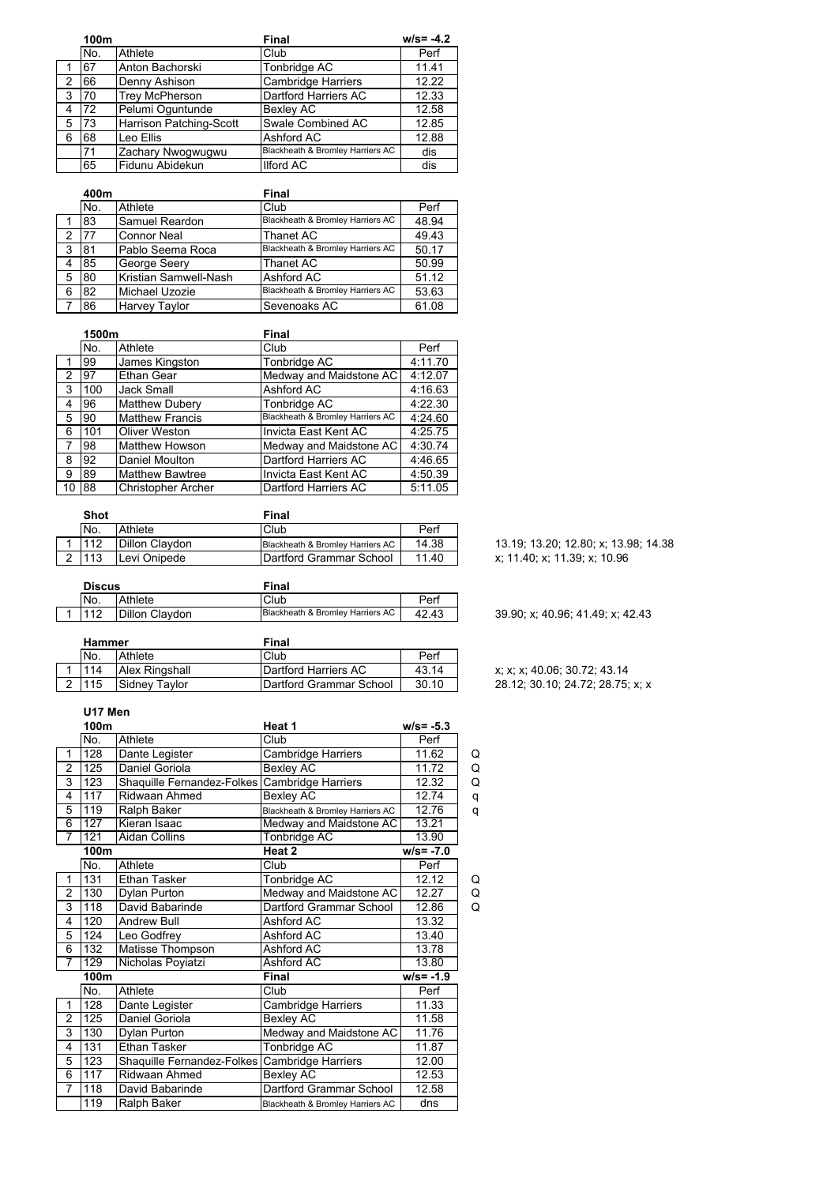|               | 100m |                         | Final                            | $w/s = -4.2$ |
|---------------|------|-------------------------|----------------------------------|--------------|
|               | No.  | Athlete                 | Club                             | Perf         |
|               | 67   | Anton Bachorski         | Tonbridge AC                     | 11.41        |
| $\mathcal{P}$ | 66   | Denny Ashison           | <b>Cambridge Harriers</b>        | 12.22        |
| -3            | 70   | <b>Trey McPherson</b>   | <b>Dartford Harriers AC</b>      | 12.33        |
| 4             | 72   | Pelumi Oguntunde        | <b>Bexley AC</b>                 | 12.58        |
| 5             | 73   | Harrison Patching-Scott | Swale Combined AC                | 12.85        |
| 6             | 68   | Leo Ellis               | Ashford AC                       | 12.88        |
|               | 71   | Zachary Nwogwugwu       | Blackheath & Bromley Harriers AC | dis          |
|               | 65   | Fidunu Abidekun         | <b>Ilford AC</b>                 | dis          |

|   | 400m      |                       | Final                            |       |
|---|-----------|-----------------------|----------------------------------|-------|
|   | No.       | Athlete               | Club                             | Perf  |
|   | '83       | Samuel Reardon        | Blackheath & Bromley Harriers AC | 48.94 |
| 2 | <b>77</b> | <b>Connor Neal</b>    | Thanet AC                        | 49.43 |
| 3 | 81        | Pablo Seema Roca      | Blackheath & Bromley Harriers AC | 50.17 |
| 4 | 85        | George Seery          | Thanet AC                        | 50.99 |
| 5 | 80        | Kristian Samwell-Nash | Ashford AC                       | 51.12 |
| 6 | 82        | Michael Uzozie        | Blackheath & Bromley Harriers AC | 53.63 |
|   | 86        | Harvey Taylor         | Sevenoaks AC                     | 61.08 |

|    | 1500m |                           | Final                            |         |
|----|-------|---------------------------|----------------------------------|---------|
|    | No.   | Athlete                   | Club                             | Perf    |
|    | 99    | James Kingston            | Tonbridge AC                     | 4:11.70 |
| 2  | 97    | <b>Ethan Gear</b>         | Medway and Maidstone AC          | 4:12.07 |
| 3  | 100   | <b>Jack Small</b>         | Ashford AC                       | 4:16.63 |
| 4  | 96    | <b>Matthew Dubery</b>     | Tonbridge AC                     | 4:22.30 |
| 5  | 90    | <b>Matthew Francis</b>    | Blackheath & Bromley Harriers AC | 4:24.60 |
| 6  | 101   | <b>Oliver Weston</b>      | Invicta East Kent AC             | 4:25.75 |
| 7  | 98    | <b>Matthew Howson</b>     | Medway and Maidstone AC          | 4:30.74 |
| 8  | 92    | Daniel Moulton            | Dartford Harriers AC             | 4:46.65 |
| 9  | 89    | <b>Matthew Bawtree</b>    | Invicta East Kent AC             | 4:50.39 |
| 10 | 88    | <b>Christopher Archer</b> | Dartford Harriers AC             | 5:11.05 |

| Shot |                | Final                            |       |                                      |
|------|----------------|----------------------------------|-------|--------------------------------------|
| No.  | Athlete        | Club                             | Perf  |                                      |
| 1112 | Dillon Claydon | Blackheath & Bromley Harriers AC | 14.38 | 13.19; 13.20; 12.80; x; 13.98; 14.38 |
| 1113 | Levi Onipede   | lDartford Grammar School         | 11.40 | x: 11.40: x: 11.39: x: 10.96         |

| <b>Discus</b> |     |                | Final                            |       |  |  |
|---------------|-----|----------------|----------------------------------|-------|--|--|
|               | No. | Athlete        | Club                             | Perf  |  |  |
|               |     | Dillon Claydon | Blackheath & Bromley Harriers AC | 42.43 |  |  |

| Claydon | Club<br>Blackheath & Bromley Harriers AC | Perf<br>42.43 | 39.90; x: 40.96; 41.49; x: 42.43 |
|---------|------------------------------------------|---------------|----------------------------------|
|         | Final                                    |               |                                  |

| Hammer |                       | Final                   |       |  |
|--------|-----------------------|-------------------------|-------|--|
| No.    | Athlete               | Club                    | Perf  |  |
| 114    | <b>Alex Ringshall</b> | Dartford Harriers AC    | 43.14 |  |
| 115    | Sidney Taylor         | Dartford Grammar School | 30.10 |  |

#### **U17 Men**

|                | 100m |                                               | Heat 1                           | $w/s = -5.3$ |   |
|----------------|------|-----------------------------------------------|----------------------------------|--------------|---|
|                | No.  | Athlete                                       | Club                             | Perf         |   |
| $\mathbf{1}$   | 128  | Dante Legister                                | Cambridge Harriers               | 11.62        | Q |
| $\overline{2}$ | 125  | Daniel Goriola                                | Bexley AC                        | 11.72        | Q |
| 3              | 123  | Shaquille Fernandez-Folkes                    | Cambridge Harriers               | 12.32        | Q |
| 4              | 117  | <b>Ridwaan Ahmed</b>                          | Bexley AC                        | 12.74        | q |
| 5              | 119  | Ralph Baker                                   | Blackheath & Bromley Harriers AC | 12.76        | q |
| 6              | 127  | Kieran Isaac                                  | Medway and Maidstone AC          | 13.21        |   |
| 7              | 121  | <b>Aidan Collins</b>                          | Tonbridge AC                     | 13.90        |   |
|                | 100m |                                               | Heat 2                           | $w/s = -7.0$ |   |
|                | No.  | Athlete                                       | Club                             | Perf         |   |
| $\mathbf{1}$   | 131  | <b>Ethan Tasker</b>                           | Tonbridge AC                     | 12.12        | Q |
| 2              | 130  | Dylan Purton                                  | Medway and Maidstone AC          | 12.27        | Q |
| 3              | 118  | David Babarinde                               | Dartford Grammar School          | 12.86        | Q |
| 4              | 120  | <b>Andrew Bull</b>                            | Ashford AC                       | 13.32        |   |
| 5              | 124  | Leo Godfrey                                   | Ashford AC                       | 13.40        |   |
| 6              | 132  | Matisse Thompson                              | Ashford AC                       | 13.78        |   |
| $\overline{7}$ | 129  | Nicholas Poyiatzi                             | Ashford AC                       | 13.80        |   |
|                | 100m |                                               | Final                            | $w/s = -1.9$ |   |
|                | No.  | Athlete                                       | Club                             | Perf         |   |
| 1              | 128  | Dante Legister                                | Cambridge Harriers               | 11.33        |   |
| 2              | 125  | Daniel Goriola                                | Bexley AC                        | 11.58        |   |
| 3              | 130  | Dylan Purton                                  | Medway and Maidstone AC          | 11.76        |   |
| 4              | 131  | <b>Ethan Tasker</b>                           | Tonbridge AC                     | 11.87        |   |
| 5              | 123  | Shaquille Fernandez-Folkes Cambridge Harriers |                                  | 12.00        |   |
| 6              | 117  | Ridwaan Ahmed                                 | Bexley AC                        | 12.53        |   |
| $\overline{7}$ | 118  | David Babarinde                               | Dartford Grammar School          | 12.58        |   |
|                | 119  | Ralph Baker                                   | Blackheath & Bromley Harriers AC | dns          |   |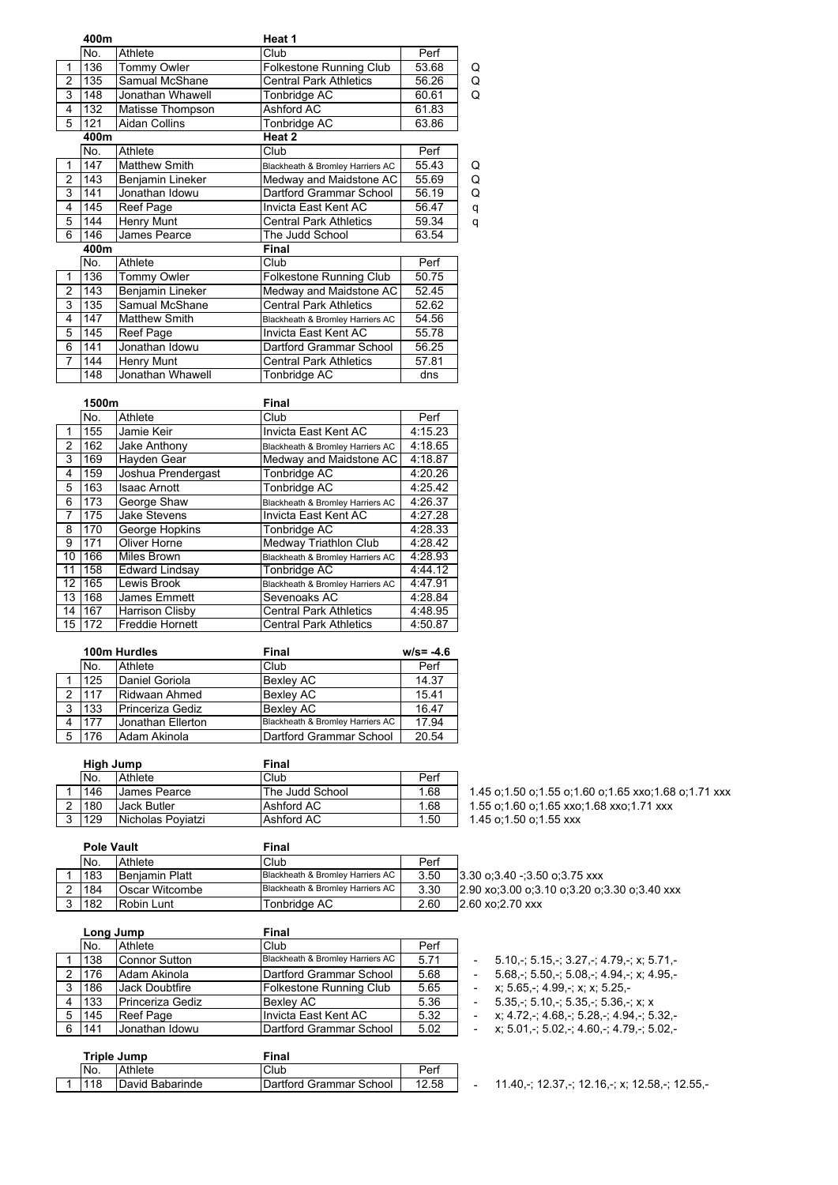|                | 400m |                      | Heat 1                           |       |   |
|----------------|------|----------------------|----------------------------------|-------|---|
|                | No.  | Athlete              | Club                             | Perf  |   |
| 1              | 136  | Tommy Owler          | Folkestone Running Club          | 53.68 | Q |
| 2              | 135  | Samual McShane       | <b>Central Park Athletics</b>    | 56.26 | Q |
| 3              | 148  | Jonathan Whawell     | Tonbridge AC                     | 60.61 | Q |
| 4              | 132  | Matisse Thompson     | Ashford AC                       | 61.83 |   |
| 5              | 121  | <b>Aidan Collins</b> | Tonbridge AC                     | 63.86 |   |
|                | 400m |                      | Heat 2                           |       |   |
|                | No.  | Athlete              | Club                             | Perf  |   |
| 1              | 147  | <b>Matthew Smith</b> | Blackheath & Bromley Harriers AC | 55.43 | Q |
| 2              | 143  | Benjamin Lineker     | Medway and Maidstone AC          | 55.69 | Q |
| 3              | 141  | Jonathan Idowu       | Dartford Grammar School          | 56.19 | Q |
| 4              | 145  | Reef Page            | Invicta East Kent AC             | 56.47 | q |
| 5              | 144  | Henry Munt           | <b>Central Park Athletics</b>    | 59.34 | q |
| 6              | 146  | James Pearce         | The Judd School                  | 63.54 |   |
|                | 400m |                      | Final                            |       |   |
|                | No.  | Athlete              | Club                             | Perf  |   |
| 1              | 136  | Tommy Owler          | Folkestone Running Club          | 50.75 |   |
| 2              | 143  | Benjamin Lineker     | Medway and Maidstone AC          | 52.45 |   |
| 3              | 135  | Samual McShane       | Central Park Athletics           | 52.62 |   |
| 4              | 147  | <b>Matthew Smith</b> | Blackheath & Bromley Harriers AC | 54.56 |   |
| 5              | 145  | Reef Page            | Invicta East Kent AC             | 55.78 |   |
| 6              | 141  | Jonathan Idowu       | Dartford Grammar School          | 56.25 |   |
| $\overline{7}$ | 144  | Henry Munt           | Central Park Athletics           | 57.81 |   |
|                | 148  | Jonathan Whawell     | Tonbridge AC                     | dns   |   |

|    | 1500m |                        | Final                            |         |  |
|----|-------|------------------------|----------------------------------|---------|--|
|    | No.   | Athlete                | Club                             | Perf    |  |
| 1  | 155   | Jamie Keir             | Invicta East Kent AC             | 4:15.23 |  |
| 2  | 162   | Jake Anthony           | Blackheath & Bromley Harriers AC | 4:18.65 |  |
| 3  | 169   | Hayden Gear            | Medway and Maidstone AC          | 4:18.87 |  |
| 4  | 159   | Joshua Prendergast     | Tonbridge AC                     | 4:20.26 |  |
| 5  | 163   | <b>Isaac Arnott</b>    | Tonbridge AC                     | 4:25.42 |  |
| 6  | 173   | George Shaw            | Blackheath & Bromley Harriers AC | 4:26.37 |  |
| 7  | 175   | Jake Stevens           | Invicta East Kent AC             | 4:27.28 |  |
| 8  | 170   | George Hopkins         | Tonbridge AC                     | 4:28.33 |  |
| 9  | 171   | Oliver Horne           | Medway Triathlon Club            | 4:28.42 |  |
| 10 | 166   | <b>Miles Brown</b>     | Blackheath & Bromley Harriers AC | 4:28.93 |  |
| 11 | 158   | Edward Lindsay         | Tonbridge AC                     | 4:44.12 |  |
| 12 | 165   | Lewis Brook            | Blackheath & Bromley Harriers AC | 4:47.91 |  |
| 13 | 168   | James Emmett           | Sevenoaks AC                     | 4:28.84 |  |
| 14 | 167   | Harrison Clisby        | <b>Central Park Athletics</b>    | 4:48.95 |  |
| 15 | 172   | <b>Freddie Hornett</b> | <b>Central Park Athletics</b>    | 4:50.87 |  |

|   |     | 100m Hurdles      | <b>Final</b>                     | $w/s = -4.6$ |
|---|-----|-------------------|----------------------------------|--------------|
|   | No. | Athlete           | Club                             | Perf         |
|   | 125 | Daniel Goriola    | <b>Bexley AC</b>                 | 14.37        |
| ົ | 117 | Ridwaan Ahmed     | <b>Bexley AC</b>                 | 15.41        |
| 3 | 133 | Princeriza Gediz  | <b>Bexley AC</b>                 | 16.47        |
|   | 177 | Jonathan Ellerton | Blackheath & Bromley Harriers AC | 17.94        |
|   | 176 | Adam Akinola      | Dartford Grammar School          | 20.54        |

|        | High Jump |                     | Final           |      |  |
|--------|-----------|---------------------|-----------------|------|--|
|        | No.       | Athlete             | Club            | Perf |  |
|        | 146       | <b>James Pearce</b> | The Judd School | 1.68 |  |
| $\sim$ | 180       | <b>Jack Butler</b>  | Ashford AC      | 1.68 |  |
| ົາ     | 129       | Nicholas Poviatzi   | Ashford AC      | 1.50 |  |

1.45 o;1.50 o;1.55 o;1.60 o;1.65 xxo;1.68 o;1.71 xxx 1.55 o;1.60 o;1.65 xxo;1.68 xxo;1.71 xxx

| <b>Pole Vault</b> |                       | Final                            |      |                                              |
|-------------------|-----------------------|----------------------------------|------|----------------------------------------------|
| No.               | Athlete               | Club                             | Perf |                                              |
| 183               | <b>Beniamin Platt</b> | Blackheath & Bromley Harriers AC | 3.50 | $13.30$ o $3.40 - 3.50$ o $3.75$ xxx         |
| 184               | Oscar Witcombe        | Blackheath & Bromley Harriers AC | 3.30 | 2.90 xo:3.00 o:3.10 o:3.20 o:3.30 o:3.40 xxx |
| 182               | Robin Lunt            | Tonbridae AC                     | 2.60 | 12.60 xo:2.70 xxx                            |

|   |       | Long Jump        | Final                            |      |                          |                                           |
|---|-------|------------------|----------------------------------|------|--------------------------|-------------------------------------------|
|   | No.   | Athlete          | Club                             | Perf |                          |                                           |
|   | 138   | Connor Sutton    | Blackheath & Bromley Harriers AC | 5.71 |                          | $5.10 - 5.15 - 3.27 - 4.79 - x$           |
|   | 176   | Adam Akinola     | <b>IDartford Grammar School</b>  | 5.68 |                          | $5.68 - 5.50 - 5.08 - 4.94 - x$           |
| 3 | 186   | IJack Doubtfire  | Folkestone Running Club          | 5.65 |                          | x: 5.65 -: 4.99 -: x: x: 5.25 -           |
|   | 4 133 | Princeriza Gediz | <b>Bexlev AC</b>                 | 5.36 | $\overline{\phantom{a}}$ | $5.35 - 5.10 - 5.35 - 5.36 - x$           |
|   | 5 145 | Reef Page        | Invicta East Kent AC             | 5.32 |                          | x: 4.72 -: 4.68 -: 5.28 -: 4.94 -: 5.32 - |
|   | 6 141 | Uonathan Idowu   | Dartford Grammar School          | 5.02 |                          | x: 5.01 -: 5.02 -: 4.60 -: 4.79 -: 5.02 - |

| <b>Triple Jump</b> |                 | Final                   |       |  |  |
|--------------------|-----------------|-------------------------|-------|--|--|
| No.                | Athlete         | Club                    | Perf  |  |  |
| ' 18               | David Babarinde | Dartford Grammar School | 12.58 |  |  |

- 11.40,-; 12.37,-; 12.16,-; x; 12.58,-; 12.55,-

 $1.45$  o;1.50 o;1.55 xxx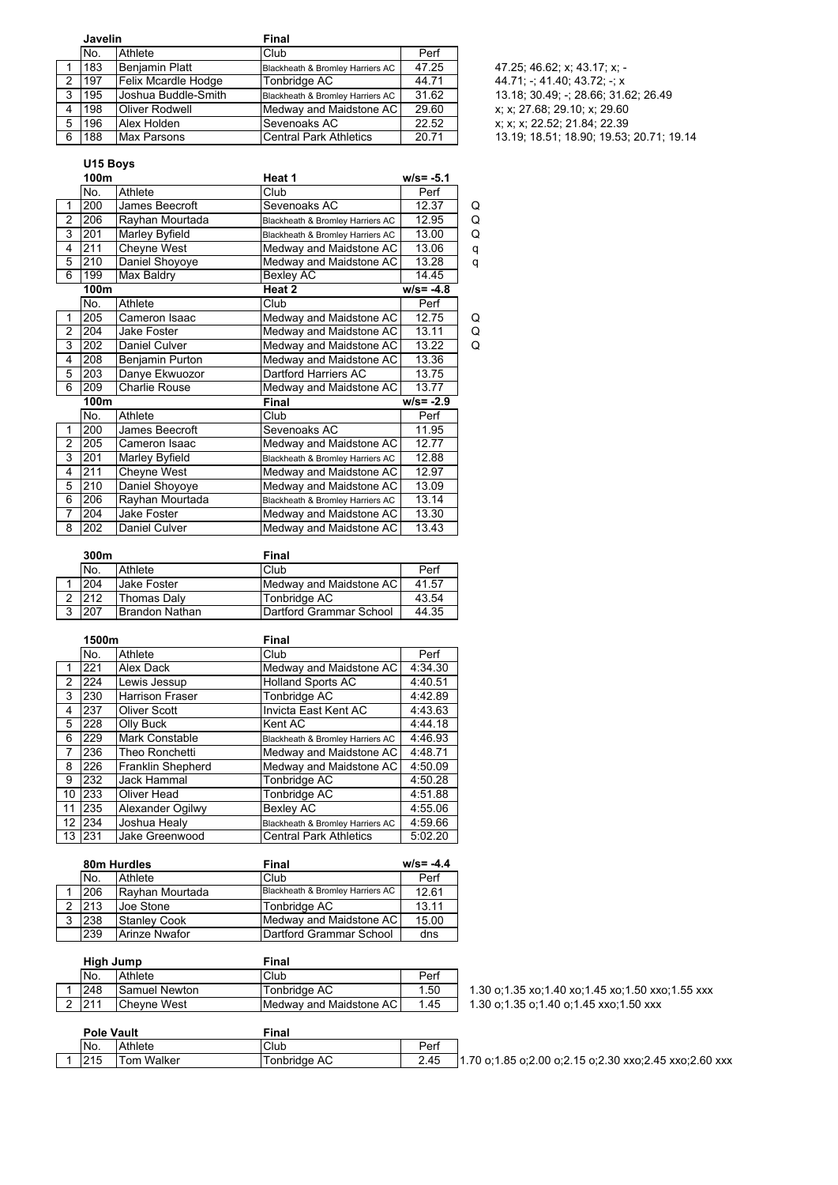|   | Javelin |                       | Final                            |       |                                          |
|---|---------|-----------------------|----------------------------------|-------|------------------------------------------|
|   | No.     | Athlete               | Club                             | Perf  |                                          |
|   | 183     | <b>Beniamin Platt</b> | Blackheath & Bromley Harriers AC | 47.25 | 47.25; 46.62; x; 43.17; x; -             |
| 2 | 197     | Felix Mcardle Hodge   | Tonbridge AC                     | 44.71 | 44.71; -: 41.40; 43.72; -: x             |
| 3 | 195     | Joshua Buddle-Smith   | Blackheath & Bromley Harriers AC | 31.62 | 13.18, 30.49; -: 28.66; 31.62; 26.49     |
|   | 198     | <b>Oliver Rodwell</b> | Medway and Maidstone AC          | 29.60 | x; x; 27.68; 29.10; x; 29.60             |
| 5 | 196     | Alex Holden           | Sevenoaks AC                     | 22.52 | x; x; x; 22.52; 21.84; 22.39             |
| 6 | 188     | Max Parsons           | Central Park Athletics           | 20.71 | 13.19; 18.51; 18.90; 19.53; 20.71; 19.14 |

## **U15 Boys**

|                | 100m |                      | Heat 1                           | $w/s = -5.1$ |   |
|----------------|------|----------------------|----------------------------------|--------------|---|
|                | No.  | Athlete              | Club                             | Perf         |   |
| 1              | 200  | James Beecroft       | Sevenoaks AC                     | 12.37        | Q |
| $\overline{2}$ | 206  | Rayhan Mourtada      | Blackheath & Bromley Harriers AC | 12.95        | Q |
| 3              | 201  | Marley Byfield       | Blackheath & Bromley Harriers AC | 13.00        | Q |
| 4              | 211  | Cheyne West          | Medway and Maidstone AC          | 13.06        | q |
| 5              | 210  | Daniel Shoyoye       | Medway and Maidstone AC          | 13.28        | q |
| 6              | 199  | Max Baldry           | Bexley AC                        | 14.45        |   |
|                | 100m |                      | Heat 2                           | $w/s = -4.8$ |   |
|                | No.  | Athlete              | Club                             | Perf         |   |
| 1              | 205  | Cameron Isaac        | Medway and Maidstone AC          | 12.75        | Q |
| $\overline{2}$ | 204  | Jake Foster          | Medway and Maidstone AC          | 13.11        | Q |
| 3              | 202  | <b>Daniel Culver</b> | Medway and Maidstone AC          | 13.22        | Q |
| 4              | 208  | Benjamin Purton      | Medway and Maidstone AC          | 13.36        |   |
| 5              | 203  | Danye Ekwuozor       | <b>Dartford Harriers AC</b>      | 13.75        |   |
| 6              | 209  | <b>Charlie Rouse</b> | Medway and Maidstone AC          | 13.77        |   |
|                | 100m |                      | Final                            | $w/s = -2.9$ |   |
|                | No.  | Athlete              | Club                             | Perf         |   |
| 1              | 200  | James Beecroft       | Sevenoaks AC                     | 11.95        |   |
| 2              | 205  | Cameron Isaac        | Medway and Maidstone AC          | 12.77        |   |
| 3              | 201  | Marley Byfield       | Blackheath & Bromley Harriers AC | 12.88        |   |
| 4              | 211  | Cheyne West          | Medway and Maidstone AC          | 12.97        |   |
| 5              | 210  | Daniel Shoyoye       | Medway and Maidstone AC          | 13.09        |   |
| 6              | 206  | Rayhan Mourtada      | Blackheath & Bromley Harriers AC | 13.14        |   |
| 7              | 204  | Jake Foster          | Medway and Maidstone AC          | 13.30        |   |
| 8              | 202  | Daniel Culver        | Medway and Maidstone AC          | 13.43        |   |

|   | 300m |                    | Final                           |       |
|---|------|--------------------|---------------------------------|-------|
|   | No.  | Athlete            | Club                            | Perf  |
|   | 204  | <b>Jake Foster</b> | Medway and Maidstone AC         | 41.57 |
|   | 212  | Thomas Dalv        | Tonbridge AC                    | 43.54 |
| າ | 207  | Brandon Nathan     | <b>IDartford Grammar School</b> | 44.35 |

|                   | 1500m |                        | Final                            |         |  |
|-------------------|-------|------------------------|----------------------------------|---------|--|
|                   | No.   | Athlete                | Club                             | Perf    |  |
| 1                 | 221   | Alex Dack              | Medway and Maidstone AC          | 4:34.30 |  |
| $\mathfrak{p}$    | 224   | Lewis Jessup           | <b>Holland Sports AC</b>         | 4:40.51 |  |
| 3                 | 230   | <b>Harrison Fraser</b> | Tonbridge AC                     | 4:42.89 |  |
| 4                 | 237   | Oliver Scott           | Invicta East Kent AC             | 4:43.63 |  |
| 5                 | 228   | Olly Buck              | Kent AC                          | 4:44.18 |  |
| 6                 | 229   | <b>Mark Constable</b>  | Blackheath & Bromley Harriers AC | 4:46.93 |  |
| 7                 | 236   | Theo Ronchetti         | Medway and Maidstone AC          | 4:48.71 |  |
| 8                 | 226   | Franklin Shepherd      | Medway and Maidstone AC          | 4:50.09 |  |
| 9                 | 232   | Jack Hammal            | Tonbridge AC                     | 4:50.28 |  |
| 10                | 233   | Oliver Head            | Tonbridge AC                     | 4:51.88 |  |
| 11                | 235   | Alexander Ogilwy       | <b>Bexley AC</b>                 | 4:55.06 |  |
| $12 \overline{ }$ | 234   | Joshua Healy           | Blackheath & Bromley Harriers AC | 4:59.66 |  |
| 13                | 231   | Jake Greenwood         | <b>Central Park Athletics</b>    | 5:02.20 |  |

| 80m Hurdles |                      | Final                            | $w/s = -4.4$ |
|-------------|----------------------|----------------------------------|--------------|
| No.         | Athlete              | Club                             | Perf         |
| 206         | Rayhan Mourtada      | Blackheath & Bromley Harriers AC | 12.61        |
| 213         | Joe Stone            | Tonbridge AC                     | 13.11        |
| 238         | <b>Stanley Cook</b>  | Medway and Maidstone AC          | 15.00        |
| 239         | <b>Arinze Nwafor</b> | Dartford Grammar School          | dns          |

|        | High Jump |                      | Final                   |      |  |
|--------|-----------|----------------------|-------------------------|------|--|
|        | No.       | Athlete              | Club                    | Perf |  |
|        | 248       | <b>Samuel Newton</b> | Tonbridge AC            | 1.50 |  |
| $\sim$ | 211       | <b>Chevne West</b>   | Medway and Maidstone AC | 1.45 |  |

1.30 o;1.35 xo;1.40 xo;1.45 xo;1.50 xxo;1.55 xxx  $\overline{1}$  1.30 o;1.35 o;1.40 o;1.45 xxo;1.50 xxx

| Pole Vault |            |            | Final        |      |                                                        |
|------------|------------|------------|--------------|------|--------------------------------------------------------|
|            | No.        | Athlete    | <b>Club</b>  | Perf |                                                        |
|            | <b>215</b> | Tom Walker | Tonbridge AC | 2.45 | 1.70 o:1.85 o:2.00 o:2.15 o:2.30 xxo:2.45 xxo:2.60 xxx |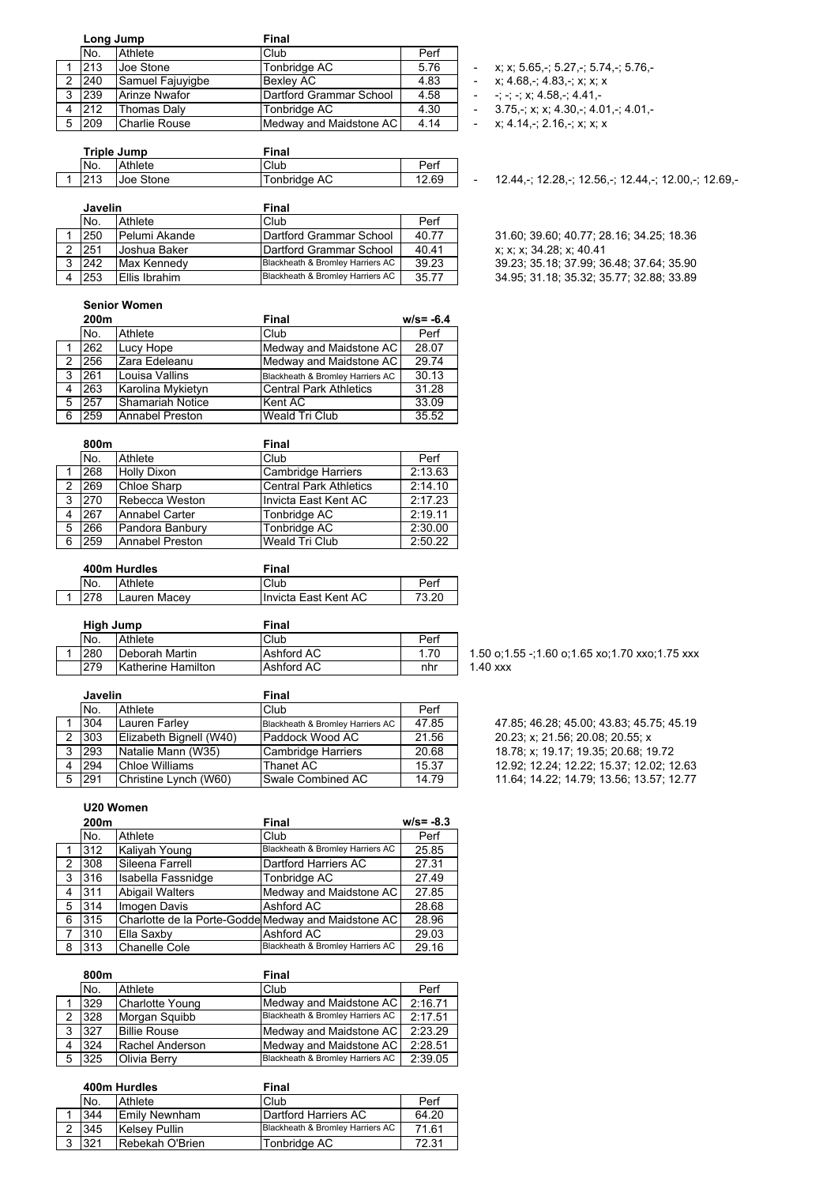|   | Long Jump |                      | <b>Final</b>            |      |  |
|---|-----------|----------------------|-------------------------|------|--|
|   | No.       | Athlete              | Club                    | Perf |  |
|   | 213       | Joe Stone            | Tonbridge AC            | 5.76 |  |
| 2 | 240       | Samuel Fajuyigbe     | <b>Bexlev AC</b>        | 4.83 |  |
| 3 | 239       | <b>Arinze Nwafor</b> | Dartford Grammar School | 4.58 |  |
| 4 | 212       | Thomas Daly          | Tonbridge AC            | 4.30 |  |
| 5 | 209       | Charlie Rouse        | Medway and Maidstone AC | 4.14 |  |

| Triple Jump |           | Final        |       |  |
|-------------|-----------|--------------|-------|--|
| No.         | Athlete   | Club         | Perf  |  |
| 012         | Uoe Stone | Tonbridge AC | 12.69 |  |

| <b>Javelin</b> |                     | Final                            |       |  |
|----------------|---------------------|----------------------------------|-------|--|
| No.            | Athlete             | Club                             | Perf  |  |
| 250            | Pelumi Akande       | Dartford Grammar School          | 40.77 |  |
| 251            | <b>Joshua Baker</b> | Dartford Grammar School          | 40.41 |  |
| 242            | Max Kennedy         | Blackheath & Bromley Harriers AC | 39.23 |  |
| 253            | Ellis Ibrahim       | Blackheath & Bromley Harriers AC | 35.77 |  |

**Senior Women**

|   | 200m |                         | Final                            | $w/s = -6.4$ |
|---|------|-------------------------|----------------------------------|--------------|
|   | No.  | Athlete                 | Club                             | Perf         |
|   | 262  | Lucy Hope               | Medway and Maidstone AC          | 28.07        |
| 2 | 256  | Zara Edeleanu           | Medway and Maidstone AC          | 29.74        |
| 3 | 261  | Louisa Vallins          | Blackheath & Bromley Harriers AC | 30.13        |
| 4 | 263  | Karolina Mykietyn       | <b>Central Park Athletics</b>    | 31.28        |
| 5 | 257  | <b>Shamariah Notice</b> | Kent AC                          | 33.09        |
| 6 | 259  | Annabel Preston         | <b>Weald Tri Club</b>            | 35.52        |

|   | 800m |                        | Final                         |         |
|---|------|------------------------|-------------------------------|---------|
|   | No.  | Athlete                | Club                          | Perf    |
|   | 268  | <b>Holly Dixon</b>     | <b>Cambridge Harriers</b>     | 2:13.63 |
| 2 | 269  | Chloe Sharp            | <b>Central Park Athletics</b> | 2:14.10 |
| 3 | 270  | Rebecca Weston         | Invicta East Kent AC          | 2:17.23 |
|   | 267  | Annabel Carter         | Tonbridge AC                  | 2:19.11 |
| 5 | 266  | Pandora Banbury        | Tonbridge AC                  | 2:30.00 |
| 6 | 259  | <b>Annabel Preston</b> | <b>Weald Tri Club</b>         | 2:50.22 |

|  | 400m Hurdles |              | Final                |       |  |
|--|--------------|--------------|----------------------|-------|--|
|  | No.          | Athlete      | Club                 | Perf  |  |
|  |              | Lauren Macev | Invicta East Kent AC | זר כד |  |

| High Jump |                    | Final      |      |            |
|-----------|--------------------|------------|------|------------|
| No.       | Athlete            | Club       | Perf |            |
| 280       | lDeborah Martin    | Ashford AC | 1.70 | $1.50$ o:1 |
| 279       | Katherine Hamilton | Ashford AC | nhr  | $1.40$ xxx |

|   | <b>Javelin</b> |                         | Final                            |       |  |
|---|----------------|-------------------------|----------------------------------|-------|--|
|   | No.            | Athlete                 | Club                             | Perf  |  |
|   | 304            | Lauren Farley           | Blackheath & Bromley Harriers AC | 47.85 |  |
|   | 303            | Elizabeth Bignell (W40) | Paddock Wood AC                  | 21.56 |  |
| 3 | 293            | Natalie Mann (W35)      | Cambridge Harriers               | 20.68 |  |
|   | 294            | Chloe Williams          | <b>Thanet AC</b>                 | 15.37 |  |
|   | 291            | Christine Lynch (W60)   | <b>Swale Combined AC</b>         | 14.79 |  |

**U20 Women**

|                | 200m |                                                     | Final                            | $w/s = -8.3$ |
|----------------|------|-----------------------------------------------------|----------------------------------|--------------|
|                | No.  | Athlete                                             | Club                             | Perf         |
|                | 312  | Kaliyah Young                                       | Blackheath & Bromley Harriers AC | 25.85        |
| $\overline{2}$ | 308  | Sileena Farrell                                     | Dartford Harriers AC             | 27.31        |
| 3              | 316  | Isabella Fassnidge                                  | Tonbridge AC                     | 27.49        |
| 4              | 311  | <b>Abigail Walters</b>                              | Medway and Maidstone AC          | 27.85        |
| 5              | 314  | Imogen Davis                                        | Ashford AC                       | 28.68        |
| 6              | 315  | Charlotte de la Porte-Godde Medway and Maidstone AC |                                  | 28.96        |
| 7              | 310  | Ella Saxbv                                          | Ashford AC                       | 29.03        |
| 8              | 313  | <b>Chanelle Cole</b>                                | Blackheath & Bromley Harriers AC | 29.16        |

|   | 800m |                     | Final                            |         |
|---|------|---------------------|----------------------------------|---------|
|   | No.  | Athlete             | Club                             | Perf    |
|   | 329  | Charlotte Young     | Medway and Maidstone AC          | 2:16.71 |
|   | 328  | Morgan Squibb       | Blackheath & Bromley Harriers AC | 2:17.51 |
| 3 | 327  | <b>Billie Rouse</b> | Medway and Maidstone AC          | 2:23.29 |
| 4 | 324  | Rachel Anderson     | Medway and Maidstone AC          | 2:28.51 |
| 5 | 325  | Olivia Berry        | Blackheath & Bromley Harriers AC | 2:39.05 |

|   | 400m Hurdles |                      | Final                            |       |  |  |
|---|--------------|----------------------|----------------------------------|-------|--|--|
|   | No.          | Athlete              | Club                             | Perf  |  |  |
|   | 344          | <b>Emily Newnham</b> | Dartford Harriers AC             | 64.20 |  |  |
|   | 345          | <b>Kelsey Pullin</b> | Blackheath & Bromley Harriers AC | 7161  |  |  |
| っ | 321          | Rebekah O'Brien      | Tonbridge AC                     | 72.31 |  |  |
|   |              |                      |                                  |       |  |  |

 $x; x; 5.65, -; 5.27, -; 5.74, -; 5.76, -$ 

- 2 x; 4.68,-; 4.83,-; x; x; x
- $-$ ; -; -; x; 4.58,-; 4.41,-
- $-3.75, \div$ ; x; x; 4.30,-; 4.01,-; 4.01,-
- $-$  x; 4.14,-; 2.16,-; x; x; x

- 12.44,-; 12.28,-; 12.56,-; 12.44,-; 12.00,-; 12.69,-

31.60; 39.60; 40.77; 28.16; 34.25; 18.36  $x; x; x; 34.28; x; 40.41$ 39.23; 35.18; 37.99; 36.48; 37.64; 35.90 34 95; 31 18; 35.32; 35.77; 32.88; 33.89

47 85; 46 28; 45.00; 43.83; 45.75; 45.19 20.23; x; 21.56; 20.08; 20.55; x 18.78; x; 19.17; 19.35; 20.68; 19.72 12.92; 12.24; 12.22; 15.37; 12.02; 12.63

1.50 o;1.55 -;1.60 o;1.65 xo;1.70 xxo;1.75 xxx

11.64, 14.22; 14.79; 13.56; 13.57; 12.77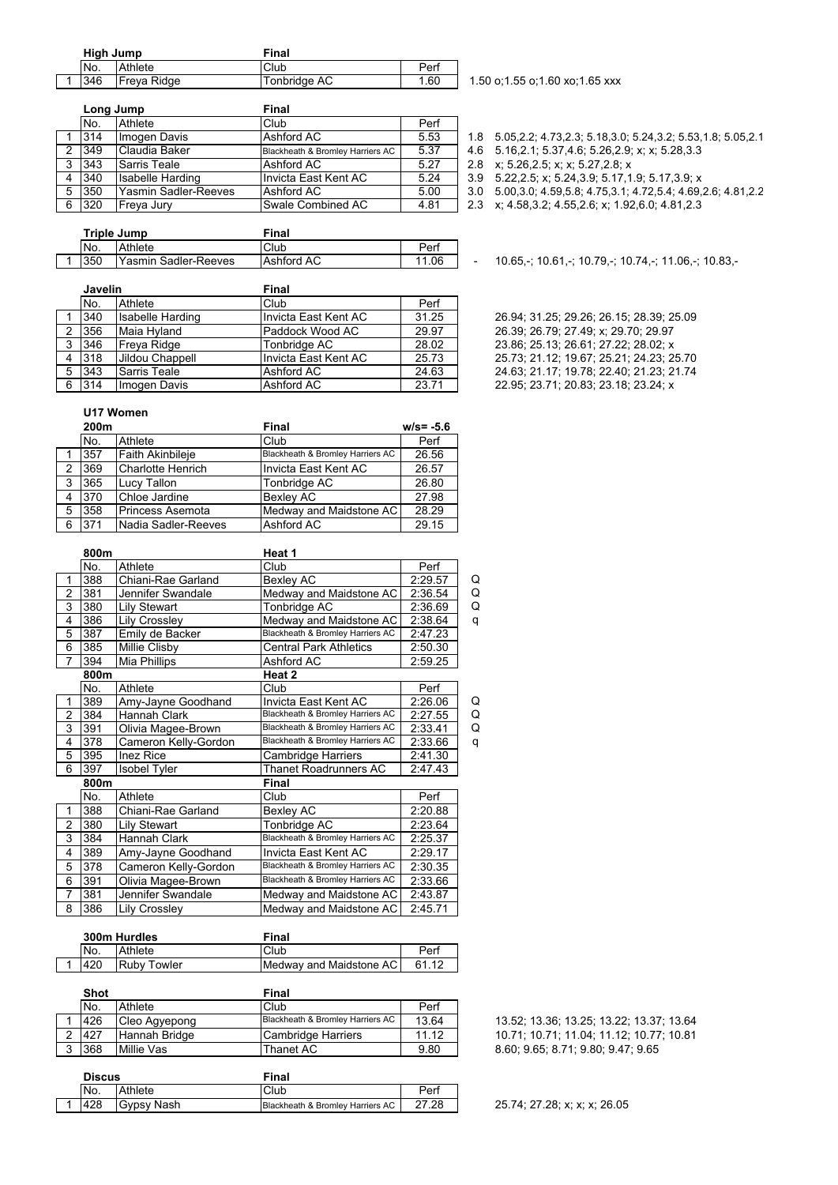| High Jump |             | Final        |      |  |
|-----------|-------------|--------------|------|--|
| No.       | Athlete     | Club         | Perf |  |
| 346       | Freya Ridge | Tonbridge AC | 1.60 |  |
|           |             |              |      |  |

|    | Long Jump   |                      | Final                            |      |                                                      |
|----|-------------|----------------------|----------------------------------|------|------------------------------------------------------|
|    | No.         | Athlete              | Club                             | Perf |                                                      |
|    | 1314        | Imogen Davis         | Ashford AC                       | 5.53 |                                                      |
| 2  | 349         | Claudia Baker        | Blackheath & Bromley Harriers AC | 5.37 | 4.6 5.16.2.1; 5.37.4.6; 5.26.2.9; x; x; 5.28.3.3     |
| 3  | 343         | <b>Sarris Teale</b>  | Ashford AC                       | 5.27 | 2.8 x; 5.26, 2.5; x; x; 5.27, 2.8; x                 |
|    | 340         | Isabelle Harding     | Invicta East Kent AC             | 5.24 | 3.9 5.22, 2.5; x; 5.24, 3.9; 5.17, 1.9; 5.17, 3.9; x |
| -5 | 350         | Yasmin Sadler-Reeves | Ashford AC                       | 5.00 | 3.0 5.00, 3.0; 4.59, 5.8; 4.75, 3.1; 4.72, 5.4; 4.69 |
| 6  | <b>1320</b> | <b>IFreva</b> Jurv   | ISwale Combined AC.              | 4 81 | 23 x 4583245526 x 1926048123                         |

1.50 o;1.55 o;1.60 xo;1.65 xxx

- 1.8 5.05,2.2; 4.73,2.3; 5.18,3.0; 5.24,3.2; 5.53,1.8; 5.05,2.1
	-
	-
- 3.9 5.22, 2.5; x; 5.24, 3.9; 5.17, 1.9; 5.17, 3.9; x
- 5 350 Yasmin Sadler-Reeves Ashford AC 5.00 3.0 5.00,3.0; 4.59,5.8; 4.75,3.1; 4.72,5.4; 4.69,2.6; 4.81,2.2
- 2.3 x; 4.58,3.2; 4.55,2.6; x; 1.92,6.0; 4.81,2.3

 $-$  10.65,-; 10.61,-; 10.79,-; 10.74,-; 11.06,-; 10.83,-

|  | Triple Jump |                      | Final      |       |
|--|-------------|----------------------|------------|-------|
|  | INo.        | Athlete              | Club       | Perf  |
|  | 350         | Yasmin Sadler-Reeves | Ashford AC | 11.06 |

|   | <b>Javelin</b> |                  | Final                 |       |                                          |  |
|---|----------------|------------------|-----------------------|-------|------------------------------------------|--|
|   | No.            | Athlete          | Club                  | Perf  |                                          |  |
|   | 340            | Isabelle Harding | Ilnvicta East Kent AC | 31.25 | 26.94; 31.25; 29.26; 26.15; 28.39; 25.09 |  |
|   | 356            | Maia Hyland      | Paddock Wood AC       | 29.97 | 26.39; 26.79; 27.49; x; 29.70; 29.97     |  |
|   | 346            | Freva Ridge      | Tonbridae AC          | 28.02 | 23.86; 25.13; 26.61; 27.22; 28.02; x     |  |
| 4 | 318            | Jildou Chappell  | Invicta East Kent AC  | 25.73 | 25.73; 21.12; 19.67; 25.21; 24.23; 25.70 |  |
| 5 | 343            | Sarris Teale     | Ashford AC            | 24.63 | 24.63; 21.17; 19.78; 22.40; 21.23; 21.74 |  |
| 6 | 314            | Imogen Davis     | Ashford AC            | 23.71 | 22.95; 23.71; 20.83; 23.18; 23.24; x     |  |

**U17 Women**

|   | 200m |                          | Final                            | $w/s = -5.6$ |
|---|------|--------------------------|----------------------------------|--------------|
|   | No.  | Athlete                  | Club                             | Perf         |
|   | 357  | <b>Faith Akinbileie</b>  | Blackheath & Bromley Harriers AC | 26.56        |
|   | 369  | <b>Charlotte Henrich</b> | Invicta East Kent AC             | 26.57        |
| 3 | 365  | Lucy Tallon              | Tonbridge AC                     | 26.80        |
|   | 370  | Chloe Jardine            | Bexley AC                        | 27.98        |
| 5 | 358  | Princess Asemota         | Medway and Maidstone AC          | 28.29        |
| 6 | 371  | Nadia Sadler-Reeves      | Ashford AC                       | 29.15        |

|                | 800m |                      | Heat 1                           |         |   |
|----------------|------|----------------------|----------------------------------|---------|---|
|                | No.  | Athlete              | Club                             | Perf    |   |
| 1              | 388  | Chiani-Rae Garland   | Bexley AC                        | 2:29.57 | Q |
| $\overline{2}$ | 381  | Jennifer Swandale    | Medway and Maidstone AC          | 2:36.54 | Q |
| 3              | 380  | Lily Stewart         | Tonbridge AC                     | 2:36.69 | Q |
| 4              | 386  | Lily Crossley        | Medway and Maidstone AC          | 2:38.64 | q |
| 5              | 387  | Emily de Backer      | Blackheath & Bromley Harriers AC | 2:47.23 |   |
| 6              | 385  | Millie Clisby        | <b>Central Park Athletics</b>    | 2:50.30 |   |
| 7              | 394  | Mia Phillips         | Ashford AC                       | 2:59.25 |   |
|                | 800m |                      | Heat 2                           |         |   |
|                | No.  | Athlete              | Club                             | Perf    |   |
| 1              | 389  | Amy-Jayne Goodhand   | Invicta East Kent AC             | 2:26.06 | Q |
| $\overline{2}$ | 384  | Hannah Clark         | Blackheath & Bromley Harriers AC | 2:27.55 | Q |
| 3              | 391  | Olivia Magee-Brown   | Blackheath & Bromley Harriers AC | 2:33.41 | Q |
| 4              | 378  | Cameron Kelly-Gordon | Blackheath & Bromley Harriers AC | 2:33.66 | q |
| 5              | 395  | <b>Inez Rice</b>     | Cambridge Harriers               | 2:41.30 |   |
| 6              | 397  | <b>Isobel Tyler</b>  | <b>Thanet Roadrunners AC</b>     | 2:47.43 |   |
|                | 800m |                      | Final                            |         |   |
|                | No.  | Athlete              | Club                             | Perf    |   |
| 1              | 388  | Chiani-Rae Garland   | Bexley AC                        | 2:20.88 |   |
| $\overline{2}$ | 380  | Lily Stewart         | Tonbridge AC                     | 2:23.64 |   |
| 3              | 384  | Hannah Clark         | Blackheath & Bromley Harriers AC | 2:25.37 |   |
| 4              | 389  | Amy-Jayne Goodhand   | Invicta East Kent AC             | 2:29.17 |   |
| 5              | 378  | Cameron Kelly-Gordon | Blackheath & Bromley Harriers AC | 2:30.35 |   |
| 6              | 391  | Olivia Magee-Brown   | Blackheath & Bromley Harriers AC | 2:33.66 |   |
| 7              | 381  | Jennifer Swandale    | Medway and Maidstone AC          | 2:43.87 |   |
| 8              | 386  | Lily Crossley        | Medway and Maidstone AC          | 2:45.71 |   |
|                |      |                      |                                  |         |   |

| 300m Hurdles |                    | Final                   |       |  |
|--------------|--------------------|-------------------------|-------|--|
| No.          | Athlete            | Club                    | Perf  |  |
| 420          | <b>Ruby Towler</b> | Medway and Maidstone AC | 61 12 |  |

|          | <b>Shot</b> |               | Final                            |       |
|----------|-------------|---------------|----------------------------------|-------|
|          | No.         | Athlete       | Club                             | Perf  |
|          | 426         | Cleo Agyepong | Blackheath & Bromley Harriers AC | 13.64 |
| $\sim$   | 427         | Hannah Bridge | Cambridge Harriers               | 11 12 |
| $\Omega$ | 368         | Millie Vas    | Thanet AC                        | 9.80  |

|  | <b>Discus</b> |            | Final                            |       |  |
|--|---------------|------------|----------------------------------|-------|--|
|  | No.           | Athlete    | Club                             | Perf  |  |
|  | 428           | Gypsy Nash | Blackheath & Bromley Harriers AC | 27.28 |  |

13.52; 13.36; 13.25; 13.22; 13.37; 13.64 2 427 Hannah Bridge Cambridge Harriers 11.12 10.71; 10.71; 11.04; 11.12; 10.77; 10.81 8.60; 9.65; 8.71; 9.80; 9.47; 9.65

 $\frac{1}{2}$  25.74; 27.28; x; x; x; 26.05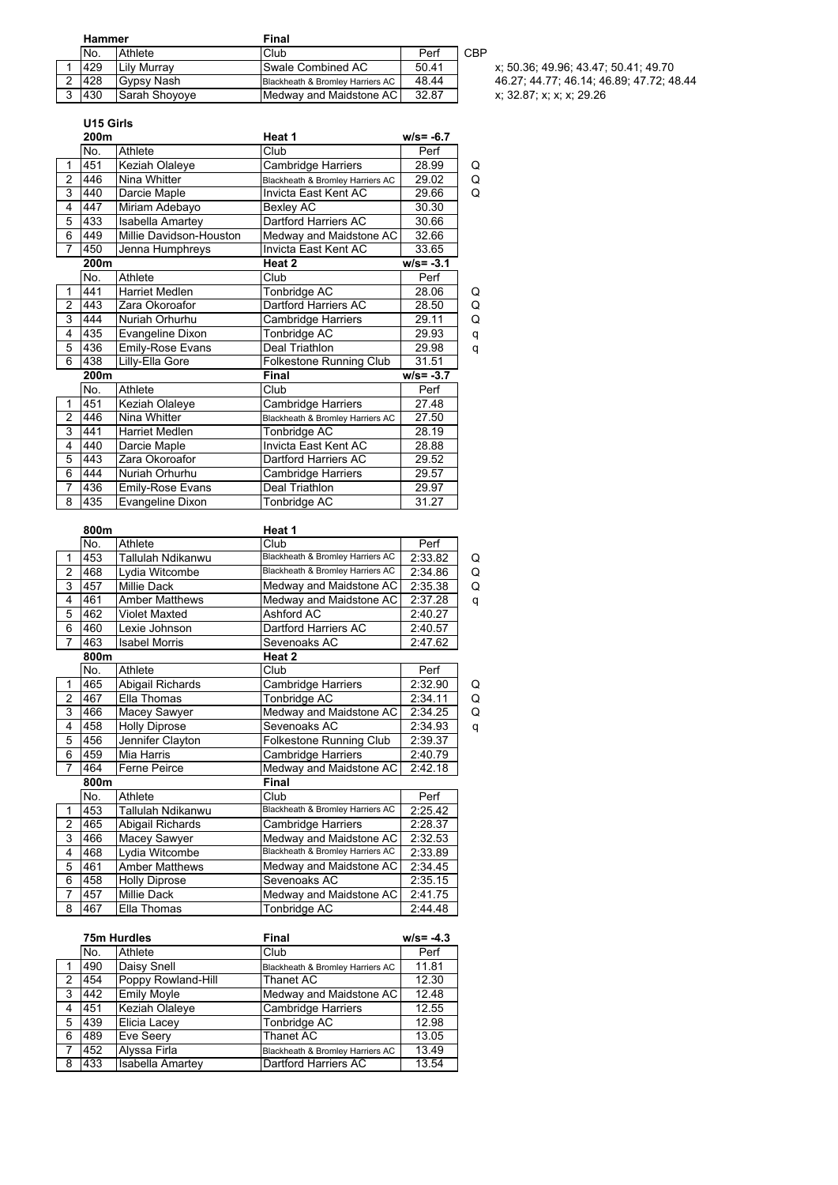| Hammer |                     | Final                            |       |                                          |
|--------|---------------------|----------------------------------|-------|------------------------------------------|
| No.    | Athlete             | Club                             | Perf  | CBP                                      |
| 429    | <b>ILily Murray</b> | Swale Combined AC                | 50.41 | x: 50.36, 49.96; 43.47; 50.41; 49.70     |
| 428    | Gypsy Nash          | Blackheath & Bromley Harriers AC | 48.44 | 46.27: 44.77: 46.14: 46.89: 47.72: 48.44 |
| 430    | ISarah Shovove      | Medway and Maidstone AC          | 32.87 | x: 32.87: x: x: x: 29.26                 |

| x: 50.36; 49.96; 43.47; 50.41 |
|-------------------------------|
| 46.27; 44.77; 46.14; 46.89; 4 |

### **U15 Girls**

|                | 200m |                         | Heat 1                           | $w/s = -6.7$ |   |
|----------------|------|-------------------------|----------------------------------|--------------|---|
|                | No.  | Athlete                 | Club                             | Perf         |   |
| 1              | 451  | Keziah Olaleye          | Cambridge Harriers               | 28.99        | Q |
| $\overline{2}$ | 446  | Nina Whitter            | Blackheath & Bromley Harriers AC | 29.02        | Q |
| 3              | 440  | Darcie Maple            | Invicta East Kent AC             | 29.66        | Q |
| 4              | 447  | Miriam Adebayo          | Bexley AC                        | 30.30        |   |
| 5              | 433  | <b>Isabella Amartey</b> | Dartford Harriers AC             | 30.66        |   |
| 6              | 449  | Millie Davidson-Houston | Medway and Maidstone AC          | 32.66        |   |
| $\overline{7}$ | 450  | Jenna Humphreys         | Invicta East Kent AC             | 33.65        |   |
|                | 200m |                         | Heat 2                           | $w/s = -3.1$ |   |
|                | No.  | Athlete                 | Club                             | Perf         |   |
| 1              | 441  | <b>Harriet Medlen</b>   | Tonbridge AC                     | 28.06        | Q |
| $\overline{2}$ | 443  | Zara Okoroafor          | Dartford Harriers AC             | 28.50        | Q |
| 3              | 444  | Nuriah Orhurhu          | Cambridge Harriers               | 29.11        | Q |
| 4              | 435  | Evangeline Dixon        | Tonbridge AC                     | 29.93        | q |
| 5              | 436  | Emily-Rose Evans        | Deal Triathlon                   | 29.98        | q |
| 6              | 438  | Lilly-Ella Gore         | <b>Folkestone Running Club</b>   | 31.51        |   |
|                | 200m |                         | Final                            | $w/s = -3.7$ |   |
|                | No.  | Athlete                 | Club                             | Perf         |   |
| 1              | 451  | Keziah Olaleye          | Cambridge Harriers               | 27.48        |   |
| $\overline{2}$ | 446  | Nina Whitter            | Blackheath & Bromley Harriers AC | 27.50        |   |
| 3              | 441  | <b>Harriet Medlen</b>   | Tonbridge AC                     | 28.19        |   |
| 4              | 440  | Darcie Maple            | Invicta East Kent AC             | 28.88        |   |
| 5              | 443  | Zara Okoroafor          | Dartford Harriers AC             | 29.52        |   |
| 6              | 444  | Nuriah Orhurhu          | Cambridge Harriers               | 29.57        |   |
| 7              | 436  | <b>Emily-Rose Evans</b> | Deal Triathlon                   | 29.97        |   |
| 8              | 435  | Evangeline Dixon        | Tonbridge AC                     | 31.27        |   |

|                | 800m |                       | Heat 1                                      |         |   |
|----------------|------|-----------------------|---------------------------------------------|---------|---|
|                | No.  | Athlete               | Club                                        | Perf    |   |
| $\mathbf{1}$   | 453  | Tallulah Ndikanwu     | <b>Blackheath &amp; Bromley Harriers AC</b> | 2:33.82 | Q |
| $\overline{2}$ | 468  | Lydia Witcombe        | Blackheath & Bromley Harriers AC            | 2:34.86 | Q |
| 3              | 457  | <b>Millie Dack</b>    | Medway and Maidstone AC                     | 2:35.38 | Q |
| 4              | 461  | <b>Amber Matthews</b> | Medway and Maidstone AC                     | 2:37.28 | q |
| 5              | 462  | Violet Maxted         | Ashford AC                                  | 2:40.27 |   |
| 6              | 460  | Lexie Johnson         | <b>Dartford Harriers AC</b>                 | 2:40.57 |   |
| $\overline{7}$ | 463  | <b>Isabel Morris</b>  | Sevenoaks AC                                | 2:47.62 |   |
|                | 800m |                       | Heat 2                                      |         |   |
|                | No.  | Athlete               | Club                                        | Perf    |   |
| $\mathbf{1}$   | 465  | Abigail Richards      | Cambridge Harriers                          | 2:32.90 | Q |
| $\overline{2}$ | 467  | Ella Thomas           | Tonbridge AC                                | 2:34.11 | Q |
| 3              | 466  | Macey Sawyer          | Medway and Maidstone AC                     | 2:34.25 | Q |
| 4              | 458  | <b>Holly Diprose</b>  | Sevenoaks AC                                | 2:34.93 | q |
| 5              | 456  | Jennifer Clayton      | <b>Folkestone Running Club</b>              | 2:39.37 |   |
| 6              | 459  | Mia Harris            | Cambridge Harriers                          | 2:40.79 |   |
| $\overline{7}$ | 464  | <b>Ferne Peirce</b>   | Medway and Maidstone AC                     | 2:42.18 |   |
|                | 800m |                       | <b>Final</b>                                |         |   |
|                | No.  | Athlete               | Club                                        | Perf    |   |
| 1              | 453  | Tallulah Ndikanwu     | Blackheath & Bromley Harriers AC            | 2:25.42 |   |
| $\overline{2}$ | 465  | Abigail Richards      | Cambridge Harriers                          | 2:28.37 |   |
| 3              | 466  | Macey Sawyer          | Medway and Maidstone AC                     | 2:32.53 |   |
| 4              | 468  | Lydia Witcombe        | Blackheath & Bromley Harriers AC            | 2:33.89 |   |
| 5              | 461  | <b>Amber Matthews</b> | Medway and Maidstone AC                     | 2:34.45 |   |
| 6              | 458  | <b>Holly Diprose</b>  | Sevenoaks AC                                | 2:35.15 |   |
| $\overline{7}$ | 457  | Millie Dack           | Medway and Maidstone AC                     | 2:41.75 |   |
| 8              | 467  | Ella Thomas           | Tonbridge AC                                | 2:44.48 |   |

|     | 75m Hurdles |                         | Final                            | $w/s = -4.3$ |
|-----|-------------|-------------------------|----------------------------------|--------------|
|     | No.         | Athlete                 | Club                             | Perf         |
|     | 490         | Daisy Snell             | Blackheath & Bromley Harriers AC | 11.81        |
| 2   | 454         | Poppy Rowland-Hill      | Thanet AC                        | 12.30        |
| -3  | 442         | <b>Emily Moyle</b>      | Medway and Maidstone AC          | 12.48        |
| 4   | 451         | <b>Keziah Olaleye</b>   | <b>Cambridge Harriers</b>        | 12.55        |
| -5  | 439         | <b>Elicia Lacey</b>     | Tonbridge AC                     | 12.98        |
| 6   | 489         | Eve Seery               | Thanet AC                        | 13.05        |
| -7  | 452         | Alyssa Firla            | Blackheath & Bromley Harriers AC | 13.49        |
| - 8 | 433         | <b>Isabella Amartey</b> | Dartford Harriers AC             | 13.54        |